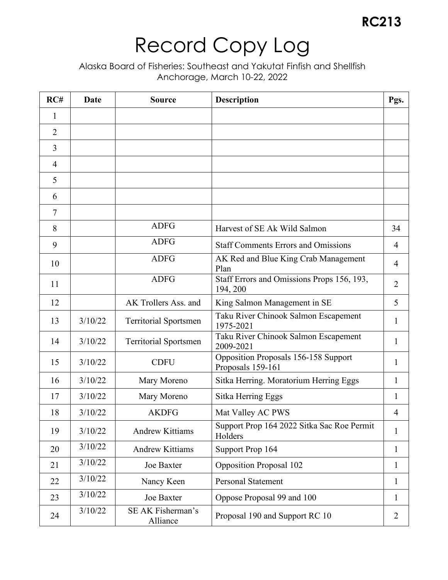| RC#            | Date    | <b>Source</b>                 | Description                                               | Pgs.           |
|----------------|---------|-------------------------------|-----------------------------------------------------------|----------------|
| 1              |         |                               |                                                           |                |
| $\overline{2}$ |         |                               |                                                           |                |
| $\overline{3}$ |         |                               |                                                           |                |
| $\overline{4}$ |         |                               |                                                           |                |
| 5              |         |                               |                                                           |                |
| 6              |         |                               |                                                           |                |
| $\tau$         |         |                               |                                                           |                |
| 8              |         | <b>ADFG</b>                   | Harvest of SE Ak Wild Salmon                              | 34             |
| 9              |         | <b>ADFG</b>                   | <b>Staff Comments Errors and Omissions</b>                | $\overline{4}$ |
| 10             |         | <b>ADFG</b>                   | AK Red and Blue King Crab Management<br>Plan              | $\overline{4}$ |
| 11             |         | <b>ADFG</b>                   | Staff Errors and Omissions Props 156, 193,<br>194, 200    | $\overline{2}$ |
| 12             |         | AK Trollers Ass. and          | King Salmon Management in SE                              | 5              |
| 13             | 3/10/22 | <b>Territorial Sportsmen</b>  | Taku River Chinook Salmon Escapement<br>1975-2021         | $\mathbf{1}$   |
| 14             | 3/10/22 | <b>Territorial Sportsmen</b>  | Taku River Chinook Salmon Escapement<br>2009-2021         | 1              |
| 15             | 3/10/22 | <b>CDFU</b>                   | Opposition Proposals 156-158 Support<br>Proposals 159-161 | $\mathbf{1}$   |
| 16             | 3/10/22 | Mary Moreno                   | Sitka Herring. Moratorium Herring Eggs                    | 1              |
| 17             | 3/10/22 | Mary Moreno                   | Sitka Herring Eggs                                        | 1              |
| 18             | 3/10/22 | <b>AKDFG</b>                  | Mat Valley AC PWS                                         | $\overline{4}$ |
| 19             | 3/10/22 | <b>Andrew Kittiams</b>        | Support Prop 164 2022 Sitka Sac Roe Permit<br>Holders     | $\mathbf{1}$   |
| 20             | 3/10/22 | <b>Andrew Kittiams</b>        | Support Prop 164                                          | 1              |
| 21             | 3/10/22 | Joe Baxter                    | <b>Opposition Proposal 102</b>                            | $\mathbf{1}$   |
| 22             | 3/10/22 | Nancy Keen                    | <b>Personal Statement</b>                                 | $\mathbf{1}$   |
| 23             | 3/10/22 | Joe Baxter                    | Oppose Proposal 99 and 100                                | 1              |
| 24             | 3/10/22 | SE AK Fisherman's<br>Alliance | Proposal 190 and Support RC 10                            | $\overline{2}$ |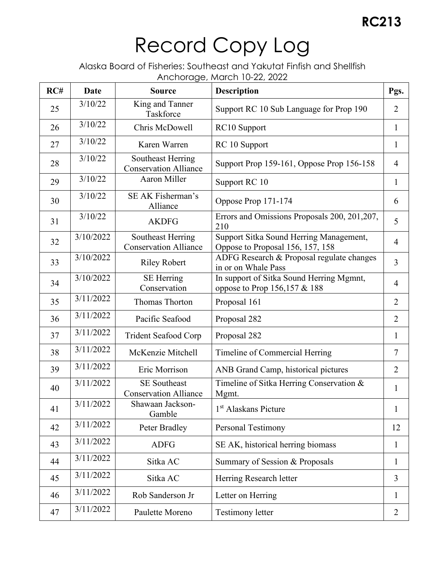| RC# | Date      | <b>Source</b>                                       | with the age, materials <b>EL, LULL</b><br><b>Description</b>               | Pgs.           |
|-----|-----------|-----------------------------------------------------|-----------------------------------------------------------------------------|----------------|
| 25  | 3/10/22   | King and Tanner<br>Taskforce                        | Support RC 10 Sub Language for Prop 190                                     | $\overline{2}$ |
| 26  | 3/10/22   | Chris McDowell                                      | RC10 Support                                                                | $\mathbf{1}$   |
| 27  | 3/10/22   | Karen Warren                                        | RC 10 Support                                                               | $\mathbf{1}$   |
| 28  | 3/10/22   | Southeast Herring<br><b>Conservation Alliance</b>   | Support Prop 159-161, Oppose Prop 156-158                                   | $\overline{4}$ |
| 29  | 3/10/22   | Aaron Miller                                        | Support RC 10                                                               | $\mathbf{1}$   |
| 30  | 3/10/22   | SE AK Fisherman's<br>Alliance                       | Oppose Prop 171-174                                                         | 6              |
| 31  | 3/10/22   | <b>AKDFG</b>                                        | Errors and Omissions Proposals 200, 201,207,<br>210                         | 5              |
| 32  | 3/10/2022 | Southeast Herring<br><b>Conservation Alliance</b>   | Support Sitka Sound Herring Management,<br>Oppose to Proposal 156, 157, 158 | $\overline{4}$ |
| 33  | 3/10/2022 | <b>Riley Robert</b>                                 | ADFG Research & Proposal regulate changes<br>in or on Whale Pass            | $\overline{3}$ |
| 34  | 3/10/2022 | <b>SE</b> Herring<br>Conservation                   | In support of Sitka Sound Herring Mgmnt,<br>oppose to Prop 156,157 & 188    | $\overline{4}$ |
| 35  | 3/11/2022 | Thomas Thorton                                      | Proposal 161                                                                | $\overline{2}$ |
| 36  | 3/11/2022 | Pacific Seafood                                     | Proposal 282                                                                | $\overline{2}$ |
| 37  | 3/11/2022 | <b>Trident Seafood Corp</b>                         | Proposal 282                                                                | $\mathbf{1}$   |
| 38  | 3/11/2022 | McKenzie Mitchell                                   | Timeline of Commercial Herring                                              | $\overline{7}$ |
| 39  | 3/11/2022 | Eric Morrison                                       | ANB Grand Camp, historical pictures                                         | $\overline{2}$ |
| 40  | 3/11/2022 | <b>SE Southeast</b><br><b>Conservation Alliance</b> | Timeline of Sitka Herring Conservation &<br>Mgmt.                           | $\mathbf{1}$   |
| 41  | 3/11/2022 | Shawaan Jackson-<br>Gamble                          | 1 <sup>st</sup> Alaskans Picture                                            | $\mathbf{1}$   |
| 42  | 3/11/2022 | Peter Bradley                                       | Personal Testimony                                                          | 12             |
| 43  | 3/11/2022 | <b>ADFG</b>                                         | SE AK, historical herring biomass                                           | $\mathbf{1}$   |
| 44  | 3/11/2022 | Sitka AC                                            | Summary of Session & Proposals                                              | $\mathbf{1}$   |
| 45  | 3/11/2022 | Sitka AC                                            | Herring Research letter                                                     | $\overline{3}$ |
| 46  | 3/11/2022 | Rob Sanderson Jr                                    | Letter on Herring                                                           | 1              |
| 47  | 3/11/2022 | Paulette Moreno                                     | <b>Testimony letter</b>                                                     | $\overline{2}$ |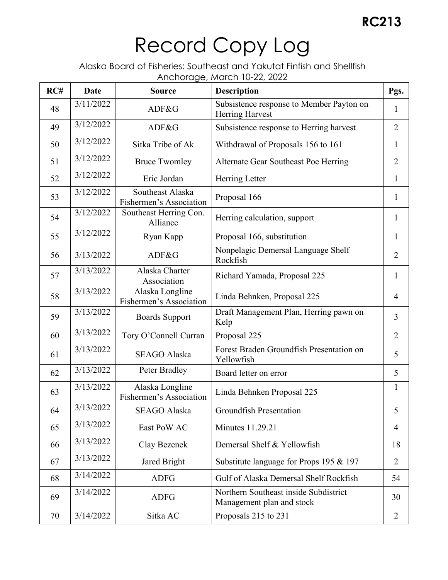| RC# | <b>Date</b> | <b>Source</b>                               | $\frac{1}{2}$ and the equal to $\frac{1}{2}$ and $\frac{1}{2}$ and $\frac{1}{2}$ and $\frac{1}{2}$ and $\frac{1}{2}$ and $\frac{1}{2}$ and $\frac{1}{2}$ and $\frac{1}{2}$ and $\frac{1}{2}$ and $\frac{1}{2}$ and $\frac{1}{2}$ and $\frac{1}{2}$ and $\frac{1}{2}$ and $\frac{1}{2}$ an<br><b>Description</b> | Pgs.           |
|-----|-------------|---------------------------------------------|-----------------------------------------------------------------------------------------------------------------------------------------------------------------------------------------------------------------------------------------------------------------------------------------------------------------|----------------|
| 48  | 3/11/2022   | ADF&G                                       | Subsistence response to Member Payton on<br>Herring Harvest                                                                                                                                                                                                                                                     | $\mathbf{1}$   |
| 49  | 3/12/2022   | ADF&G                                       | Subsistence response to Herring harvest                                                                                                                                                                                                                                                                         | $\overline{2}$ |
| 50  | 3/12/2022   | Sitka Tribe of Ak                           | Withdrawal of Proposals 156 to 161                                                                                                                                                                                                                                                                              | $\mathbf{1}$   |
| 51  | 3/12/2022   | <b>Bruce Twomley</b>                        | Alternate Gear Southeast Poe Herring                                                                                                                                                                                                                                                                            | $\overline{2}$ |
| 52  | 3/12/2022   | Eric Jordan                                 | Herring Letter                                                                                                                                                                                                                                                                                                  | $\mathbf{1}$   |
| 53  | 3/12/2022   | Southeast Alaska<br>Fishermen's Association | Proposal 166                                                                                                                                                                                                                                                                                                    | $\mathbf{1}$   |
| 54  | 3/12/2022   | Southeast Herring Con.<br>Alliance          | Herring calculation, support                                                                                                                                                                                                                                                                                    | $\mathbf{1}$   |
| 55  | 3/12/2022   | Ryan Kapp                                   | Proposal 166, substitution                                                                                                                                                                                                                                                                                      | $\mathbf{1}$   |
| 56  | 3/13/2022   | ADF&G                                       | Nonpelagic Demersal Language Shelf<br>Rockfish                                                                                                                                                                                                                                                                  | $\overline{2}$ |
| 57  | 3/13/2022   | Alaska Charter<br>Association               | Richard Yamada, Proposal 225                                                                                                                                                                                                                                                                                    | $\mathbf{1}$   |
| 58  | 3/13/2022   | Alaska Longline<br>Fishermen's Association  | Linda Behnken, Proposal 225                                                                                                                                                                                                                                                                                     | $\overline{4}$ |
| 59  | 3/13/2022   | <b>Boards Support</b>                       | Draft Management Plan, Herring pawn on<br>Kelp                                                                                                                                                                                                                                                                  | 3              |
| 60  | 3/13/2022   | Tory O'Connell Curran                       | Proposal 225                                                                                                                                                                                                                                                                                                    | $\overline{2}$ |
| 61  | 3/13/2022   | <b>SEAGO Alaska</b>                         | Forest Braden Groundfish Presentation on<br>Yellowfish                                                                                                                                                                                                                                                          | 5              |
| 62  | 3/13/2022   | Peter Bradley                               | Board letter on error                                                                                                                                                                                                                                                                                           | 5              |
| 63  | 3/13/2022   | Alaska Longline<br>Fishermen's Association  | Linda Behnken Proposal 225                                                                                                                                                                                                                                                                                      | $\mathbf{1}$   |
| 64  | 3/13/2022   | SEAGO Alaska                                | Groundfish Presentation                                                                                                                                                                                                                                                                                         | 5              |
| 65  | 3/13/2022   | East PoW AC                                 | <b>Minutes 11.29.21</b>                                                                                                                                                                                                                                                                                         | 4              |
| 66  | 3/13/2022   | Clay Bezenek                                | Demersal Shelf & Yellowfish                                                                                                                                                                                                                                                                                     | 18             |
| 67  | 3/13/2022   | Jared Bright                                | Substitute language for Props 195 & 197                                                                                                                                                                                                                                                                         | $\overline{2}$ |
| 68  | 3/14/2022   | <b>ADFG</b>                                 | Gulf of Alaska Demersal Shelf Rockfish                                                                                                                                                                                                                                                                          | 54             |
| 69  | 3/14/2022   | <b>ADFG</b>                                 | Northern Southeast inside Subdistrict<br>Management plan and stock                                                                                                                                                                                                                                              | 30             |
| 70  | 3/14/2022   | Sitka AC                                    | Proposals 215 to 231                                                                                                                                                                                                                                                                                            | $\overline{2}$ |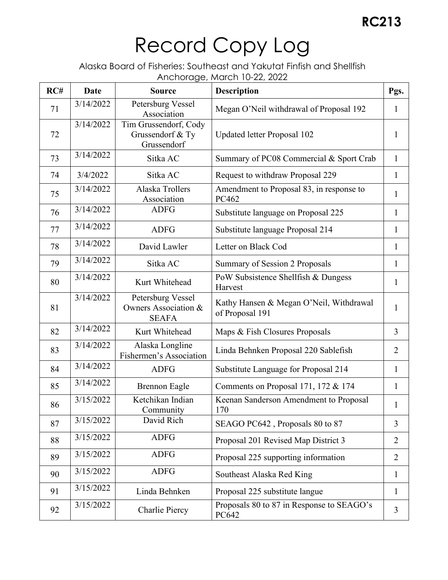| RC# | <b>Date</b> | <b>Source</b>                                             | $1010100$ , $90711000011100 = 227200$<br><b>Description</b> | Pgs.           |
|-----|-------------|-----------------------------------------------------------|-------------------------------------------------------------|----------------|
| 71  | 3/14/2022   | Petersburg Vessel<br>Association                          | Megan O'Neil withdrawal of Proposal 192                     | $\mathbf{1}$   |
| 72  | 3/14/2022   | Tim Grussendorf, Cody<br>Grussendorf & Ty<br>Grussendorf  | Updated letter Proposal 102                                 | 1              |
| 73  | 3/14/2022   | Sitka AC                                                  | Summary of PC08 Commercial & Sport Crab                     | $\mathbf{1}$   |
| 74  | 3/4/2022    | Sitka AC                                                  | Request to withdraw Proposal 229                            | $\mathbf{1}$   |
| 75  | 3/14/2022   | Alaska Trollers<br>Association                            | Amendment to Proposal 83, in response to<br>PC462           | $\mathbf{1}$   |
| 76  | 3/14/2022   | <b>ADFG</b>                                               | Substitute language on Proposal 225                         | $\mathbf{1}$   |
| 77  | 3/14/2022   | <b>ADFG</b>                                               | Substitute language Proposal 214                            | $\mathbf{1}$   |
| 78  | 3/14/2022   | David Lawler                                              | Letter on Black Cod                                         | $\mathbf{1}$   |
| 79  | 3/14/2022   | Sitka AC                                                  | Summary of Session 2 Proposals                              | $\mathbf{1}$   |
| 80  | 3/14/2022   | Kurt Whitehead                                            | PoW Subsistence Shellfish & Dungess<br>Harvest              | $\mathbf{1}$   |
| 81  | 3/14/2022   | Petersburg Vessel<br>Owners Association &<br><b>SEAFA</b> | Kathy Hansen & Megan O'Neil, Withdrawal<br>of Proposal 191  | $\mathbf{1}$   |
| 82  | 3/14/2022   | Kurt Whitehead                                            | Maps & Fish Closures Proposals                              | 3              |
| 83  | 3/14/2022   | Alaska Longline<br>Fishermen's Association                | Linda Behnken Proposal 220 Sablefish                        | $\overline{2}$ |
| 84  | 3/14/2022   | <b>ADFG</b>                                               | Substitute Language for Proposal 214                        | $\mathbf{1}$   |
| 85  | 3/14/2022   | <b>Brennon Eagle</b>                                      | Comments on Proposal 171, 172 & 174                         | $\mathbf{1}$   |
| 86  | 3/15/2022   | Ketchikan Indian<br>Community                             | Keenan Sanderson Amendment to Proposal<br>170               | 1              |
| 87  | 3/15/2022   | David Rich                                                | SEAGO PC642, Proposals 80 to 87                             | $\overline{3}$ |
| 88  | 3/15/2022   | <b>ADFG</b>                                               | Proposal 201 Revised Map District 3                         | $\overline{2}$ |
| 89  | 3/15/2022   | <b>ADFG</b>                                               | Proposal 225 supporting information                         | $\overline{2}$ |
| 90  | 3/15/2022   | <b>ADFG</b>                                               | Southeast Alaska Red King                                   | $\mathbf{1}$   |
| 91  | 3/15/2022   | Linda Behnken                                             | Proposal 225 substitute langue                              | $\mathbf{1}$   |
| 92  | 3/15/2022   | Charlie Piercy                                            | Proposals 80 to 87 in Response to SEAGO's<br>PC642          | $\overline{3}$ |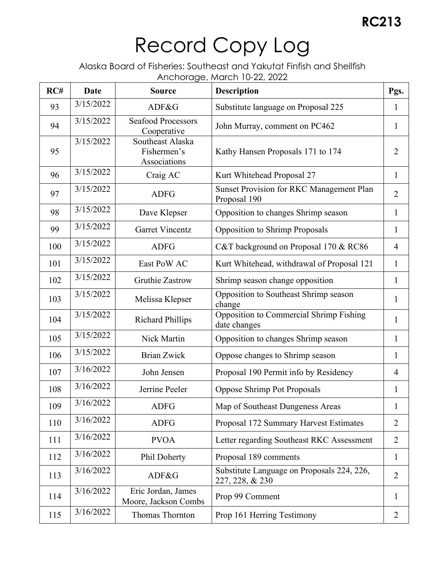| RC# | Date      | <b>Source</b>                                   | $\sim$ 2010, 990, $\sim$ 10. $\sim$ 10. $\sim$ 22, 2022<br><b>Description</b> | Pgs.           |
|-----|-----------|-------------------------------------------------|-------------------------------------------------------------------------------|----------------|
| 93  | 3/15/2022 | ADF&G                                           | Substitute language on Proposal 225                                           | $\mathbf{1}$   |
| 94  | 3/15/2022 | <b>Seafood Processors</b><br>Cooperative        | John Murray, comment on PC462                                                 | $\mathbf{1}$   |
| 95  | 3/15/2022 | Southeast Alaska<br>Fishermen's<br>Associations | Kathy Hansen Proposals 171 to 174                                             | $\overline{2}$ |
| 96  | 3/15/2022 | Craig AC                                        | Kurt Whitehead Proposal 27                                                    | $\mathbf{1}$   |
| 97  | 3/15/2022 | <b>ADFG</b>                                     | Sunset Provision for RKC Management Plan<br>Proposal 190                      | $\overline{2}$ |
| 98  | 3/15/2022 | Dave Klepser                                    | Opposition to changes Shrimp season                                           | $\mathbf{1}$   |
| 99  | 3/15/2022 | <b>Garret Vincentz</b>                          | <b>Opposition to Shrimp Proposals</b>                                         | $\mathbf{1}$   |
| 100 | 3/15/2022 | <b>ADFG</b>                                     | C&T background on Proposal 170 & RC86                                         | $\overline{4}$ |
| 101 | 3/15/2022 | East PoW AC                                     | Kurt Whitehead, withdrawal of Proposal 121                                    | $\mathbf{1}$   |
| 102 | 3/15/2022 | <b>Gruthie Zastrow</b>                          | Shrimp season change opposition                                               | $\mathbf{1}$   |
| 103 | 3/15/2022 | Melissa Klepser                                 | Opposition to Southeast Shrimp season<br>change                               | $\mathbf{1}$   |
| 104 | 3/15/2022 | <b>Richard Phillips</b>                         | Opposition to Commercial Shrimp Fishing<br>date changes                       | 1              |
| 105 | 3/15/2022 | Nick Martin                                     | Opposition to changes Shrimp season                                           | $\mathbf{1}$   |
| 106 | 3/15/2022 | <b>Brian Zwick</b>                              | Oppose changes to Shrimp season                                               | $\mathbf{1}$   |
| 107 | 3/16/2022 | John Jensen                                     | Proposal 190 Permit info by Residency                                         | $\overline{4}$ |
| 108 | 3/16/2022 | Jerrine Peeler                                  | <b>Oppose Shrimp Pot Proposals</b>                                            | 1              |
| 109 | 3/16/2022 | ADFG                                            | Map of Southeast Dungeness Areas                                              |                |
| 110 | 3/16/2022 | <b>ADFG</b>                                     | Proposal 172 Summary Harvest Estimates                                        | $\overline{2}$ |
| 111 | 3/16/2022 | <b>PVOA</b>                                     | Letter regarding Southeast RKC Assessment                                     | $\overline{2}$ |
| 112 | 3/16/2022 | Phil Doherty                                    | Proposal 189 comments                                                         | $\mathbf{1}$   |
| 113 | 3/16/2022 | ADF&G                                           | Substitute Language on Proposals 224, 226,<br>227, 228, & 230                 | $\overline{2}$ |
| 114 | 3/16/2022 | Eric Jordan, James<br>Moore, Jackson Combs      | Prop 99 Comment                                                               | $\mathbf{1}$   |
| 115 | 3/16/2022 | Thomas Thornton                                 | Prop 161 Herring Testimony                                                    | $\overline{2}$ |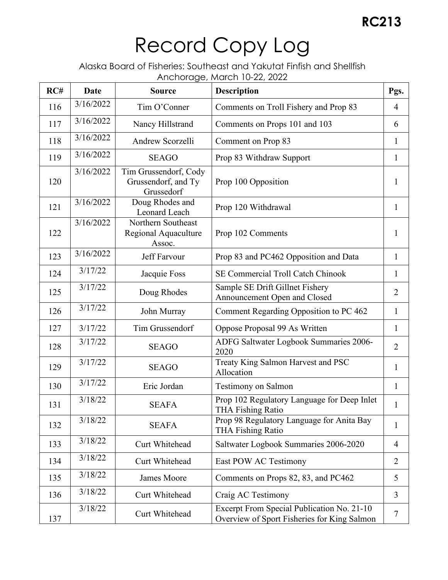| RC# | <b>Date</b> | <b>Source</b>                                              | <b>Description</b>                                                                        | Pgs.           |
|-----|-------------|------------------------------------------------------------|-------------------------------------------------------------------------------------------|----------------|
| 116 | 3/16/2022   | Tim O'Conner                                               | Comments on Troll Fishery and Prop 83                                                     | $\overline{4}$ |
| 117 | 3/16/2022   | Nancy Hillstrand                                           | Comments on Props 101 and 103                                                             | 6              |
| 118 | 3/16/2022   | Andrew Scorzelli                                           | Comment on Prop 83                                                                        | $\mathbf{1}$   |
| 119 | 3/16/2022   | <b>SEAGO</b>                                               | Prop 83 Withdraw Support                                                                  | $\mathbf{1}$   |
| 120 | 3/16/2022   | Tim Grussendorf, Cody<br>Grussendorf, and Ty<br>Grussedorf | Prop 100 Opposition                                                                       | $\mathbf{1}$   |
| 121 | 3/16/2022   | Doug Rhodes and<br>Leonard Leach                           | Prop 120 Withdrawal                                                                       | $\mathbf{1}$   |
| 122 | 3/16/2022   | Northern Southeast<br>Regional Aquaculture<br>Assoc.       | Prop 102 Comments                                                                         | 1              |
| 123 | 3/16/2022   | <b>Jeff Farvour</b>                                        | Prop 83 and PC462 Opposition and Data                                                     | 1              |
| 124 | 3/17/22     | Jacquie Foss                                               | SE Commercial Troll Catch Chinook                                                         | $\mathbf{1}$   |
| 125 | 3/17/22     | Doug Rhodes                                                | Sample SE Drift Gillnet Fishery<br>Announcement Open and Closed                           | $\overline{2}$ |
| 126 | 3/17/22     | John Murray                                                | Comment Regarding Opposition to PC 462                                                    | $\mathbf{1}$   |
| 127 | 3/17/22     | Tim Grussendorf                                            | Oppose Proposal 99 As Written                                                             | $\mathbf{1}$   |
| 128 | 3/17/22     | <b>SEAGO</b>                                               | ADFG Saltwater Logbook Summaries 2006-<br>2020                                            | $\overline{2}$ |
| 129 | 3/17/22     | <b>SEAGO</b>                                               | Treaty King Salmon Harvest and PSC<br>Allocation                                          | $\mathbf{1}$   |
| 130 | 3/17/22     | Eric Jordan                                                | <b>Testimony on Salmon</b>                                                                | $\mathbf{1}$   |
| 131 | 3/18/22     | <b>SEAFA</b>                                               | Prop 102 Regulatory Language for Deep Inlet<br><b>THA Fishing Ratio</b>                   | $\mathbf{1}$   |
| 132 | 3/18/22     | <b>SEAFA</b>                                               | Prop 98 Regulatory Language for Anita Bay<br><b>THA Fishing Ratio</b>                     | $\mathbf{1}$   |
| 133 | 3/18/22     | Curt Whitehead                                             | Saltwater Logbook Summaries 2006-2020                                                     | $\overline{4}$ |
| 134 | 3/18/22     | Curt Whitehead                                             | East POW AC Testimony                                                                     | $\overline{2}$ |
| 135 | 3/18/22     | James Moore                                                | Comments on Props 82, 83, and PC462                                                       | 5              |
| 136 | 3/18/22     | Curt Whitehead                                             | Craig AC Testimony                                                                        | 3              |
| 137 | 3/18/22     | Curt Whitehead                                             | Excerpt From Special Publication No. 21-10<br>Overview of Sport Fisheries for King Salmon | $\tau$         |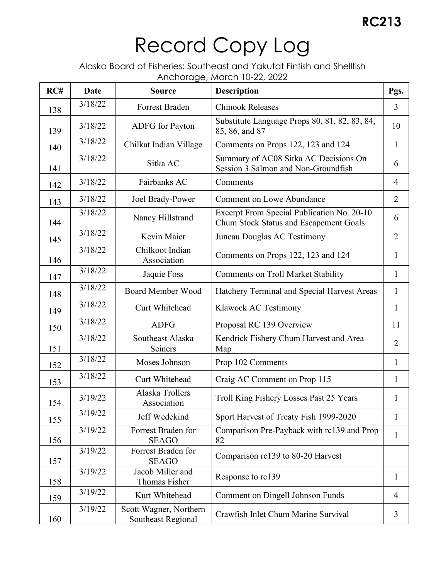| RC# | <b>Date</b> | <b>Source</b>                                | <b>Description</b>                                                                   | Pgs.           |
|-----|-------------|----------------------------------------------|--------------------------------------------------------------------------------------|----------------|
| 138 | 3/18/22     | Forrest Braden                               | <b>Chinook Releases</b>                                                              | $\overline{3}$ |
| 139 | 3/18/22     | ADFG for Payton                              | Substitute Language Props 80, 81, 82, 83, 84,<br>85, 86, and 87                      | 10             |
| 140 | 3/18/22     | Chilkat Indian Village                       | Comments on Props 122, 123 and 124                                                   | $\mathbf{1}$   |
| 141 | 3/18/22     | Sitka AC                                     | Summary of AC08 Sitka AC Decisions On<br>Session 3 Salmon and Non-Groundfish         | 6              |
| 142 | 3/18/22     | Fairbanks AC                                 | Comments                                                                             | $\overline{4}$ |
| 143 | 3/18/22     | Joel Brady-Power                             | <b>Comment on Lowe Abundance</b>                                                     | $\overline{2}$ |
| 144 | 3/18/22     | Nancy Hillstrand                             | Excerpt From Special Publication No. 20-10<br>Chum Stock Status and Escapement Goals | 6              |
| 145 | 3/18/22     | Kevin Maier                                  | Juneau Douglas AC Testimony                                                          | $\overline{2}$ |
| 146 | 3/18/22     | Chilkoot Indian<br>Association               | Comments on Props 122, 123 and 124                                                   | $\mathbf{1}$   |
| 147 | 3/18/22     | Jaquie Foss                                  | <b>Comments on Troll Market Stability</b>                                            | $\mathbf{1}$   |
| 148 | 3/18/22     | <b>Board Member Wood</b>                     | Hatchery Terminal and Special Harvest Areas                                          | $\mathbf{1}$   |
| 149 | 3/18/22     | Curt Whitehead                               | Klawock AC Testimony                                                                 | $\mathbf{1}$   |
| 150 | 3/18/22     | <b>ADFG</b>                                  | Proposal RC 139 Overview                                                             | 11             |
| 151 | 3/18/22     | Southeast Alaska<br>Seiners                  | Kendrick Fishery Chum Harvest and Area<br>Map                                        | $\overline{2}$ |
| 152 | 3/18/22     | Moses Johnson                                | Prop 102 Comments                                                                    | $\mathbf{1}$   |
| 153 | 3/18/22     | Curt Whitehead                               | Craig AC Comment on Prop 115                                                         | $\mathbf{1}$   |
| 154 | 3/19/22     | Alaska Trollers<br>Association               | Troll King Fishery Losses Past 25 Years                                              | $\mathbf{1}$   |
| 155 | 3/19/22     | Jeff Wedekind                                | Sport Harvest of Treaty Fish 1999-2020                                               | $\mathbf{1}$   |
| 156 | 3/19/22     | Forrest Braden for<br><b>SEAGO</b>           | Comparison Pre-Payback with rc139 and Prop<br>82                                     | $\mathbf{1}$   |
| 157 | 3/19/22     | Forrest Braden for<br><b>SEAGO</b>           | Comparison rc139 to 80-20 Harvest                                                    |                |
| 158 | 3/19/22     | Jacob Miller and<br>Thomas Fisher            | Response to rc139                                                                    | $\mathbf{1}$   |
| 159 | 3/19/22     | Kurt Whitehead                               | Comment on Dingell Johnson Funds                                                     | $\overline{4}$ |
| 160 | 3/19/22     | Scott Wagner, Northern<br>Southeast Regional | Crawfish Inlet Chum Marine Survival                                                  | 3              |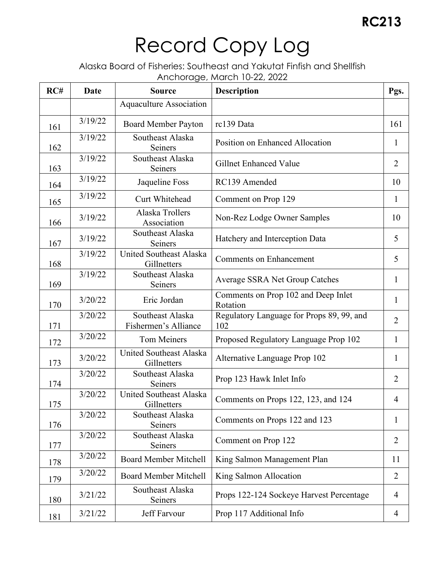| RC# | Date    | <b>Source</b>                            | <b>Description</b>                               | Pgs.           |
|-----|---------|------------------------------------------|--------------------------------------------------|----------------|
|     |         | <b>Aquaculture Association</b>           |                                                  |                |
| 161 | 3/19/22 | <b>Board Member Payton</b>               | rc139 Data                                       | 161            |
| 162 | 3/19/22 | Southeast Alaska<br>Seiners              | <b>Position on Enhanced Allocation</b>           | $\mathbf{1}$   |
| 163 | 3/19/22 | Southeast Alaska<br>Seiners              | Gillnet Enhanced Value                           | $\overline{2}$ |
| 164 | 3/19/22 | Jaqueline Foss                           | RC139 Amended                                    | 10             |
| 165 | 3/19/22 | Curt Whitehead                           | Comment on Prop 129                              | 1              |
| 166 | 3/19/22 | Alaska Trollers<br>Association           | Non-Rez Lodge Owner Samples                      | 10             |
| 167 | 3/19/22 | Southeast Alaska<br>Seiners              | Hatchery and Interception Data                   | 5              |
| 168 | 3/19/22 | United Southeast Alaska<br>Gillnetters   | <b>Comments on Enhancement</b>                   | 5              |
| 169 | 3/19/22 | Southeast Alaska<br>Seiners              | Average SSRA Net Group Catches                   | $\mathbf{1}$   |
| 170 | 3/20/22 | Eric Jordan                              | Comments on Prop 102 and Deep Inlet<br>Rotation  | $\mathbf{1}$   |
| 171 | 3/20/22 | Southeast Alaska<br>Fishermen's Alliance | Regulatory Language for Props 89, 99, and<br>102 | $\overline{2}$ |
| 172 | 3/20/22 | <b>Tom Meiners</b>                       | Proposed Regulatory Language Prop 102            | $\mathbf{1}$   |
| 173 | 3/20/22 | United Southeast Alaska<br>Gillnetters   | Alternative Language Prop 102                    | $\mathbf{1}$   |
| 174 | 3/20/22 | Southeast Alaska<br>Seiners              | Prop 123 Hawk Inlet Info                         | $\overline{2}$ |
| 175 | 3/20/22 | United Southeast Alaska<br>Gillnetters   | Comments on Props 122, 123, and 124              | $\overline{4}$ |
| 176 | 3/20/22 | Southeast Alaska<br><b>Seiners</b>       | Comments on Props 122 and 123                    | $\mathbf{1}$   |
| 177 | 3/20/22 | Southeast Alaska<br>Seiners              | Comment on Prop 122                              | $\overline{2}$ |
| 178 | 3/20/22 | <b>Board Member Mitchell</b>             | King Salmon Management Plan                      | 11             |
| 179 | 3/20/22 | <b>Board Member Mitchell</b>             | King Salmon Allocation                           | $\overline{2}$ |
| 180 | 3/21/22 | Southeast Alaska<br>Seiners              | Props 122-124 Sockeye Harvest Percentage         | $\overline{4}$ |
| 181 | 3/21/22 | Jeff Farvour                             | Prop 117 Additional Info                         | $\overline{4}$ |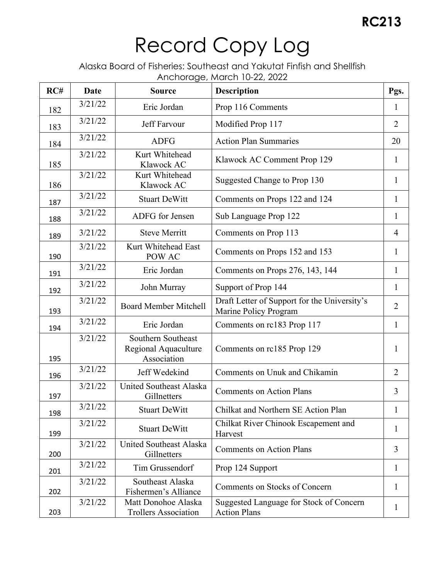| RC# | Date    | <b>Source</b>                                             | with a go, mai off to 22, 2022<br><b>Description</b>                  | Pgs.           |
|-----|---------|-----------------------------------------------------------|-----------------------------------------------------------------------|----------------|
| 182 | 3/21/22 | Eric Jordan                                               | Prop 116 Comments                                                     | $\mathbf{1}$   |
| 183 | 3/21/22 | Jeff Farvour                                              | Modified Prop 117                                                     | $\overline{2}$ |
| 184 | 3/21/22 | <b>ADFG</b>                                               | <b>Action Plan Summaries</b>                                          | 20             |
| 185 | 3/21/22 | Kurt Whitehead<br>Klawock AC                              | Klawock AC Comment Prop 129                                           | $\mathbf{1}$   |
| 186 | 3/21/22 | Kurt Whitehead<br>Klawock AC                              | Suggested Change to Prop 130                                          | 1              |
| 187 | 3/21/22 | <b>Stuart DeWitt</b>                                      | Comments on Props 122 and 124                                         | $\mathbf{1}$   |
| 188 | 3/21/22 | ADFG for Jensen                                           | Sub Language Prop 122                                                 | $\mathbf{1}$   |
| 189 | 3/21/22 | <b>Steve Merritt</b>                                      | Comments on Prop 113                                                  | $\overline{4}$ |
| 190 | 3/21/22 | Kurt Whitehead East<br>POW AC                             | Comments on Props 152 and 153                                         | $\mathbf{1}$   |
| 191 | 3/21/22 | Eric Jordan                                               | Comments on Props 276, 143, 144                                       | $\mathbf{1}$   |
| 192 | 3/21/22 | John Murray                                               | Support of Prop 144                                                   | $\mathbf{1}$   |
| 193 | 3/21/22 | <b>Board Member Mitchell</b>                              | Draft Letter of Support for the University's<br>Marine Policy Program | $\overline{2}$ |
| 194 | 3/21/22 | Eric Jordan                                               | Comments on rc183 Prop 117                                            | $\mathbf{1}$   |
| 195 | 3/21/22 | Southern Southeast<br>Regional Aquaculture<br>Association | Comments on rc185 Prop 129                                            | $\mathbf{1}$   |
| 196 | 3/21/22 | Jeff Wedekind                                             | Comments on Unuk and Chikamin                                         | $\overline{2}$ |
| 197 | 3/21/22 | United Southeast Alaska<br>Gillnetters                    | <b>Comments on Action Plans</b>                                       | $\overline{3}$ |
| 198 | 3/21/22 | <b>Stuart DeWitt</b>                                      | Chilkat and Northern SE Action Plan                                   | $\mathbf{1}$   |
| 199 | 3/21/22 | <b>Stuart DeWitt</b>                                      | Chilkat River Chinook Escapement and<br>Harvest                       | 1              |
| 200 | 3/21/22 | United Southeast Alaska<br>Gillnetters                    | <b>Comments on Action Plans</b>                                       | 3              |
| 201 | 3/21/22 | Tim Grussendorf                                           | Prop 124 Support                                                      | 1              |
| 202 | 3/21/22 | Southeast Alaska<br>Fishermen's Alliance                  | Comments on Stocks of Concern                                         | 1              |
| 203 | 3/21/22 | Matt Donohoe Alaska<br><b>Trollers Association</b>        | Suggested Language for Stock of Concern<br><b>Action Plans</b>        | 1              |